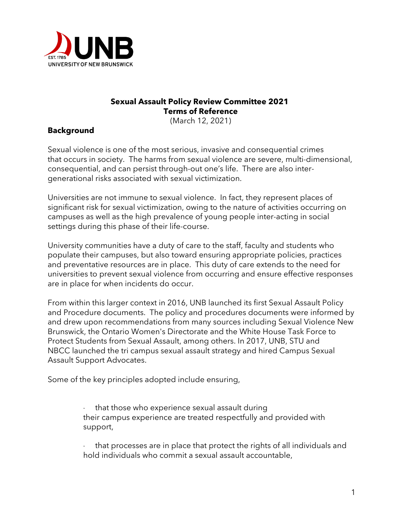

### **Sexual Assault Policy Review Committee 2021 Terms of Reference**

(March 12, 2021)

## **Background**

Sexual violence is one of the most serious, invasive and consequential crimes that occurs in society. The harms from sexual violence are severe, multi-dimensional, consequential, and can persist through-out one's life. There are also intergenerational risks associated with sexual victimization.

Universities are not immune to sexual violence. In fact, they represent places of significant risk for sexual victimization, owing to the nature of activities occurring on campuses as well as the high prevalence of young people inter-acting in social settings during this phase of their life-course.

University communities have a duty of care to the staff, faculty and students who populate their campuses, but also toward ensuring appropriate policies, practices and preventative resources are in place. This duty of care extends to the need for universities to prevent sexual violence from occurring and ensure effective responses are in place for when incidents do occur.

From within this larger context in 2016, UNB launched its first Sexual Assault Policy and Procedure documents. The policy and procedures documents were informed by and drew upon recommendations from many sources including Sexual Violence New Brunswick, the Ontario Women's Directorate and the White House Task Force to Protect Students from Sexual Assault, among others. In 2017, UNB, STU and NBCC launched the tri campus sexual assault strategy and hired Campus Sexual Assault Support Advocates.

Some of the key principles adopted include ensuring,

that those who experience sexual assault during their campus experience are treated respectfully and provided with support,

that processes are in place that protect the rights of all individuals and hold individuals who commit a sexual assault accountable,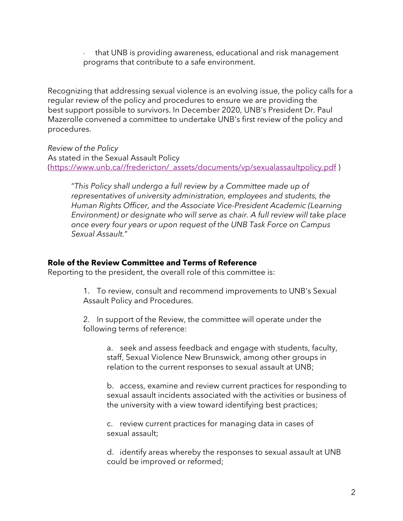· that UNB is providing awareness, educational and risk management programs that contribute to a safe environment.

Recognizing that addressing sexual violence is an evolving issue, the policy calls for a regular review of the policy and procedures to ensure we are providing the best support possible to survivors. In December 2020, UNB's President Dr. Paul Mazerolle convened a committee to undertake UNB's first review of the policy and procedures.

*Review of the Policy* As stated in the Sexual Assault Policy (https://www.unb.ca//fredericton/\_assets/documents/vp/sexualassaultpolicy.pdf)

"*This Policy shall undergo a full review by a Committee made up of representatives of university administration, employees and students, the Human Rights Officer, and the Associate Vice-President Academic (Learning Environment) or designate who will serve as chair. A full review will take place once every four years or upon request of the UNB Task Force on Campus Sexual Assault.*"

#### **Role of the Review Committee and Terms of Reference**

Reporting to the president, the overall role of this committee is:

1. To review, consult and recommend improvements to UNB's Sexual Assault Policy and Procedures.

2. In support of the Review, the committee will operate under the following terms of reference:

a. seek and assess feedback and engage with students, faculty, staff, Sexual Violence New Brunswick, among other groups in relation to the current responses to sexual assault at UNB;

b. access, examine and review current practices for responding to sexual assault incidents associated with the activities or business of the university with a view toward identifying best practices;

c. review current practices for managing data in cases of sexual assault;

d. identify areas whereby the responses to sexual assault at UNB could be improved or reformed;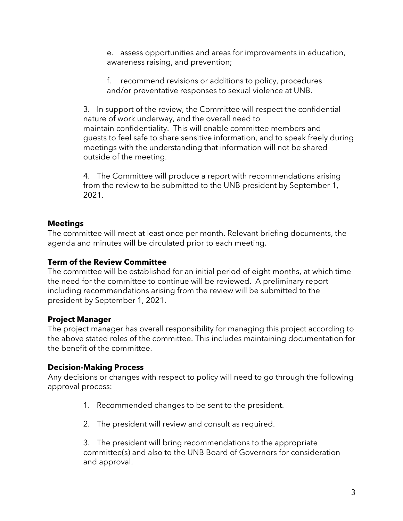e. assess opportunities and areas for improvements in education, awareness raising, and prevention;

f. recommend revisions or additions to policy, procedures and/or preventative responses to sexual violence at UNB.

3. In support of the review, the Committee will respect the confidential nature of work underway, and the overall need to maintain confidentiality. This will enable committee members and guests to feel safe to share sensitive information, and to speak freely during meetings with the understanding that information will not be shared outside of the meeting.

4. The Committee will produce a report with recommendations arising from the review to be submitted to the UNB president by September 1, 2021.

#### **Meetings**

The committee will meet at least once per month. Relevant briefing documents, the agenda and minutes will be circulated prior to each meeting.

## **Term of the Review Committee**

The committee will be established for an initial period of eight months, at which time the need for the committee to continue will be reviewed. A preliminary report including recommendations arising from the review will be submitted to the president by September 1, 2021.

# **Project Manager**

The project manager has overall responsibility for managing this project according to the above stated roles of the committee. This includes maintaining documentation for the benefit of the committee.

# **Decision-Making Process**

Any decisions or changes with respect to policy will need to go through the following approval process:

- 1. Recommended changes to be sent to the president.
- 2. The president will review and consult as required.

3. The president will bring recommendations to the appropriate committee(s) and also to the UNB Board of Governors for consideration and approval.